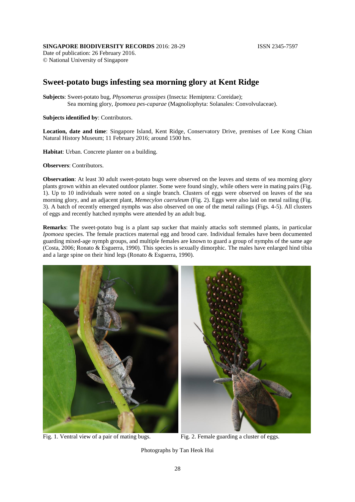## **SINGAPORE BIODIVERSITY RECORDS** 2016: 28-29 **ISSN 2345-7597**

Date of publication: 26 February 2016. © National University of Singapore

## **Sweet-potato bugs infesting sea morning glory at Kent Ridge**

**Subjects**: Sweet-potato bug, *Physomerus grossipes* (Insecta: Hemiptera: Coreidae); Sea morning glory, *Ipomoea pes-caparae* (Magnoliophyta: Solanales: Convolvulaceae).

**Subjects identified by**: Contributors.

**Location, date and time**: Singapore Island, Kent Ridge, Conservatory Drive, premises of Lee Kong Chian Natural History Museum; 11 February 2016; around 1500 hrs.

**Habitat**: Urban. Concrete planter on a building.

**Observers**: Contributors.

**Observation**: At least 30 adult sweet-potato bugs were observed on the leaves and stems of sea morning glory plants grown within an elevated outdoor planter. Some were found singly, while others were in mating pairs (Fig. 1). Up to 10 individuals were noted on a single branch. Clusters of eggs were observed on leaves of the sea morning glory, and an adjacent plant, *Memecylon caeruleum* (Fig. 2). Eggs were also laid on metal railing (Fig. 3). A batch of recently emerged nymphs was also observed on one of the metal railings (Figs. 4-5). All clusters of eggs and recently hatched nymphs were attended by an adult bug.

**Remarks**: The sweet-potato bug is a plant sap sucker that mainly attacks soft stemmed plants, in particular *Ipomoea* species. The female practices maternal egg and brood care. Individual females have been documented guarding mixed-age nymph groups, and multiple females are known to guard a group of nymphs of the same age (Costa, 2006; Ronato & Esguerra, 1990). This species is sexually dimorphic. The males have enlarged hind tibia and a large spine on their hind legs (Ronato & Esguerra, 1990).



Fig. 1. Ventral view of a pair of mating bugs. Fig. 2. Female guarding a cluster of eggs.

Photographs by Tan Heok Hui